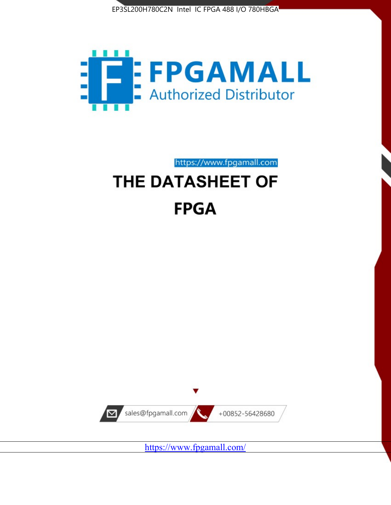



https://www.fpgamall.com

# THE DATASHEET OF **FPGA**



<https://www.fpgamall.com/>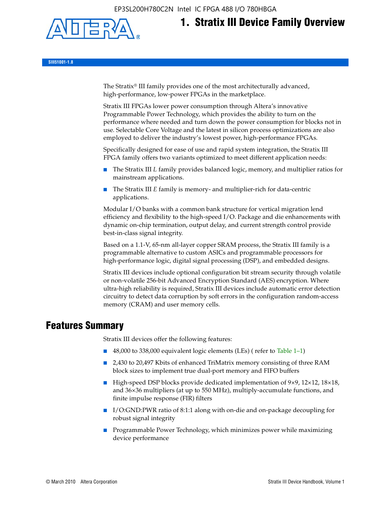

# **1. Stratix III Device Family Overview**

**SIII51001-1.8**

The Stratix® III family provides one of the most architecturally advanced, high-performance, low-power FPGAs in the marketplace.

Stratix III FPGAs lower power consumption through Altera's innovative Programmable Power Technology, which provides the ability to turn on the performance where needed and turn down the power consumption for blocks not in use. Selectable Core Voltage and the latest in silicon process optimizations are also employed to deliver the industry's lowest power, high-performance FPGAs.

Specifically designed for ease of use and rapid system integration, the Stratix III FPGA family offers two variants optimized to meet different application needs:

- The Stratix III *L* family provides balanced logic, memory, and multiplier ratios for mainstream applications.
- The Stratix III *E* family is memory- and multiplier-rich for data-centric applications.

Modular I/O banks with a common bank structure for vertical migration lend efficiency and flexibility to the high-speed I/O. Package and die enhancements with dynamic on-chip termination, output delay, and current strength control provide best-in-class signal integrity.

Based on a 1.1-V, 65-nm all-layer copper SRAM process, the Stratix III family is a programmable alternative to custom ASICs and programmable processors for high-performance logic, digital signal processing (DSP), and embedded designs.

Stratix III devices include optional configuration bit stream security through volatile or non-volatile 256-bit Advanced Encryption Standard (AES) encryption. Where ultra-high reliability is required, Stratix III devices include automatic error detection circuitry to detect data corruption by soft errors in the configuration random-access memory (CRAM) and user memory cells.

# **Features Summary**

Stratix III devices offer the following features:

- 48,000 to 338,000 equivalent logic elements (LEs) (refer to Table 1–1)
- 2,430 to 20,497 Kbits of enhanced TriMatrix memory consisting of three RAM block sizes to implement true dual-port memory and FIFO buffers
- High-speed DSP blocks provide dedicated implementation of 9×9, 12×12, 18×18, and 36×36 multipliers (at up to 550 MHz), multiply-accumulate functions, and finite impulse response (FIR) filters
- I/O:GND:PWR ratio of 8:1:1 along with on-die and on-package decoupling for robust signal integrity
- Programmable Power Technology, which minimizes power while maximizing device performance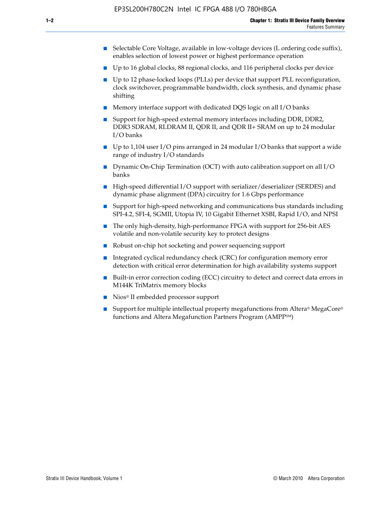- Selectable Core Voltage, available in low-voltage devices (L ordering code suffix), enables selection of lowest power or highest performance operation
- Up to 16 global clocks, 88 regional clocks, and 116 peripheral clocks per device
- Up to 12 phase-locked loops (PLLs) per device that support PLL reconfiguration, clock switchover, programmable bandwidth, clock synthesis, and dynamic phase shifting
- Memory interface support with dedicated DQS logic on all I/O banks
- Support for high-speed external memory interfaces including DDR, DDR2, DDR3 SDRAM, RLDRAM II, QDR II, and QDR II+ SRAM on up to 24 modular I/O banks
- Up to 1,104 user I/O pins arranged in 24 modular I/O banks that support a wide range of industry I/O standards
- Dynamic On-Chip Termination (OCT) with auto calibration support on all  $I/O$ banks
- High-speed differential I/O support with serializer/deserializer (SERDES) and dynamic phase alignment (DPA) circuitry for 1.6 Gbps performance
- Support for high-speed networking and communications bus standards including SPI-4.2, SFI-4, SGMII, Utopia IV, 10 Gigabit Ethernet XSBI, Rapid I/O, and NPSI
- The only high-density, high-performance FPGA with support for 256-bit AES volatile and non-volatile security key to protect designs
- Robust on-chip hot socketing and power sequencing support
- Integrated cyclical redundancy check (CRC) for configuration memory error detection with critical error determination for high availability systems support
- Built-in error correction coding (ECC) circuitry to detect and correct data errors in M144K TriMatrix memory blocks
- Nios<sup>®</sup> II embedded processor support
- Support for multiple intellectual property megafunctions from Altera® MegaCore® functions and Altera Megafunction Partners Program (AMPPSM)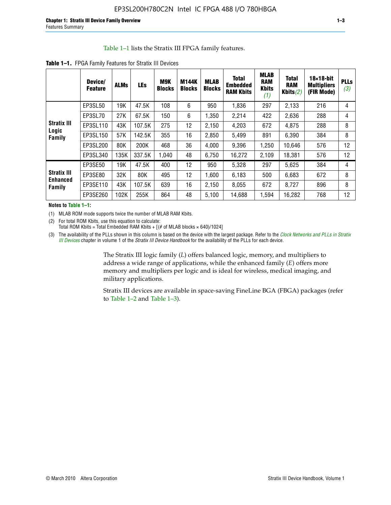#### Table 1–1 lists the Stratix III FPGA family features.

|                                       | Device/<br><b>Feature</b> | <b>ALMs</b> | <b>LEs</b> | M9K<br><b>Blocks</b> | <b>M144K</b><br><b>Blocks</b> | <b>MLAB</b><br><b>Blocks</b> | <b>Total</b><br><b>Embedded</b><br><b>RAM Kbits</b> | <b>MLAB</b><br><b>RAM</b><br><b>Kbits</b><br>(1) | <b>Total</b><br><b>RAM</b><br>Kbits $(2)$ | $18\times18$ -bit<br><b>Multipliers</b><br>(FIR Mode) | <b>PLL</b><br>(3, |
|---------------------------------------|---------------------------|-------------|------------|----------------------|-------------------------------|------------------------------|-----------------------------------------------------|--------------------------------------------------|-------------------------------------------|-------------------------------------------------------|-------------------|
|                                       | EP3SL50                   | 19K         | 47.5K      | 108                  | 6                             | 950                          | 1,836                                               | 297                                              | 2,133                                     | 216                                                   | 4                 |
|                                       | EP3SL70                   | 27K         | 67.5K      | 150                  | 6                             | 1,350                        | 2,214                                               | 422                                              | 2,636                                     | 288                                                   | 4                 |
| <b>Stratix III</b><br>Logic           | EP3SL110                  | 43K         | 107.5K     | 275                  | 12                            | 2,150                        | 4,203                                               | 672                                              | 4,875                                     | 288                                                   | 8                 |
| Family                                | EP3SL150                  | 57K         | 142.5K     | 355                  | 16                            | 2,850                        | 5.499                                               | 891                                              | 6,390                                     | 384                                                   | 8                 |
|                                       | EP3SL200                  | 80K         | 200K       | 468                  | 36                            | 4,000                        | 9,396                                               | 1,250                                            | 10,646                                    | 576                                                   | 12                |
|                                       | EP3SL340                  | 135K        | 337.5K     | 1,040                | 48                            | 6,750                        | 16,272                                              | 2,109                                            | 18,381                                    | 576                                                   | 12                |
|                                       | EP3SE50                   | 19K         | 47.5K      | 400                  | 12                            | 950                          | 5,328                                               | 297                                              | 5,625                                     | 384                                                   | 4                 |
| <b>Stratix III</b><br><b>Enhanced</b> | EP3SE80                   | 32K         | 80K        | 495                  | 12                            | 1,600                        | 6,183                                               | 500                                              | 6,683                                     | 672                                                   | 8                 |
| Family                                | EP3SE110                  | 43K         | 107.5K     | 639                  | 16                            | 2,150                        | 8.055                                               | 672                                              | 8,727                                     | 896                                                   | 8                 |
|                                       | EP3SE260                  | 102K        | 255K       | 864                  | 48                            | 5,100                        | 14,688                                              | 1,594                                            | 16,282                                    | 768                                                   | 12                |

**Table 1–1.** FPGA Family Features for Stratix III Devices

**Notes to Table 1–1:**

(1) MLAB ROM mode supports twice the number of MLAB RAM Kbits.

(2) For total ROM Kbits, use this equation to calculate: Total ROM Kbits = Total Embedded RAM Kbits +  $[(# of MLAB blocks × 640)/1024]$ 

(3) The availability of the PLLs shown in this column is based on the device with the largest package. Refer to the *[Clock Networks and PLLs in Stratix](http://www.altera.com/literature/hb/stx3/stx3_siii51006.pdf)  [III Devices](http://www.altera.com/literature/hb/stx3/stx3_siii51006.pdf)* chapter in volume 1 of the *Stratix III Device Handbook* for the availability of the PLLs for each device.

> The Stratix III logic family (*L*) offers balanced logic, memory, and multipliers to address a wide range of applications, while the enhanced family (*E*) offers more memory and multipliers per logic and is ideal for wireless, medical imaging, and military applications.

Stratix III devices are available in space-saving FineLine BGA (FBGA) packages (refer to Table 1–2 and Table 1–3).

**PLLs**  *(3)*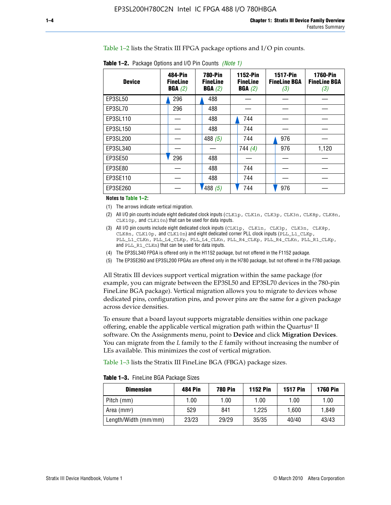Table 1–2 lists the Stratix III FPGA package options and I/O pin counts.

| <b>Device</b> | 484-Pin<br><b>FineLine</b><br>BGA(2) | <b>780-Pin</b><br><b>FineLine</b><br>BGA(2) | 1152-Pin<br><b>FineLine</b><br>BGA(2) | <b>1517-Pin</b><br><b>FineLine BGA</b><br>(3) | <b>1760-Pin</b><br><b>FineLine BGA</b><br>(3) |
|---------------|--------------------------------------|---------------------------------------------|---------------------------------------|-----------------------------------------------|-----------------------------------------------|
| EP3SL50       | 296                                  | 488                                         |                                       |                                               |                                               |
| EP3SL70       | 296                                  | 488                                         |                                       |                                               |                                               |
| EP3SL110      |                                      | 488                                         | 744                                   |                                               |                                               |
| EP3SL150      |                                      | 488                                         | 744                                   |                                               |                                               |
| EP3SL200      |                                      | 488 $(5)$                                   | 744                                   | 976                                           |                                               |
| EP3SL340      |                                      |                                             | 744 $(4)$                             | 976                                           | 1,120                                         |
| EP3SE50       | 296                                  | 488                                         |                                       |                                               |                                               |
| EP3SE80       |                                      | 488                                         | 744                                   |                                               |                                               |
| EP3SE110      |                                      | 488                                         | 744                                   |                                               |                                               |
| EP3SE260      |                                      | 1488(5)                                     | 744                                   | 976                                           |                                               |

**Table 1–2.** Package Options and I/O Pin Counts *(Note 1)*

**Notes to Table 1–2:**

(1) The arrows indicate vertical migration.

- (2) All I/O pin counts include eight dedicated clock inputs (CLK1p, CLK1n, CLK3p, CLK3n, CLK8p, CLK8n, CLK10p, and CLK10n) that can be used for data inputs.
- (3) All I/O pin counts include eight dedicated clock inputs (CLK1p, CLK1n, CLK3p, CLK3n, CLK8p, CLK8n, CLK10p, and CLK10n) and eight dedicated corner PLL clock inputs (PLL\_L1\_CLKp, PLL\_L1\_CLKn, PLL\_L4\_CLKp, PLL\_L4\_CLKn, PLL\_R4\_CLKp, PLL\_R4\_CLKn, PLL\_R1\_CLKp, and PLL\_R1\_CLKn) that can be used for data inputs.
- (4) The EP3SL340 FPGA is offered only in the H1152 package, but not offered in the F1152 package.
- (5) The EP3SE260 and EP3SL200 FPGAs are offered only in the H780 package, but not offered in the F780 package.

All Stratix III devices support vertical migration within the same package (for example, you can migrate between the EP3SL50 and EP3SL70 devices in the 780-pin FineLine BGA package). Vertical migration allows you to migrate to devices whose dedicated pins, configuration pins, and power pins are the same for a given package across device densities.

To ensure that a board layout supports migratable densities within one package offering, enable the applicable vertical migration path within the Quartus® II software. On the Assignments menu, point to **Device** and click **Migration Devices**. You can migrate from the *L* family to the *E* family without increasing the number of LEs available. This minimizes the cost of vertical migration.

Table 1–3 lists the Stratix III FineLine BGA (FBGA) package sizes.

**Table 1–3.** FineLine BGA Package Sizes

| <b>Dimension</b>     | <b>484 Pin</b> | <b>780 Pin</b> | <b>1152 Pin</b> | <b>1517 Pin</b> | <b>1760 Pin</b> |
|----------------------|----------------|----------------|-----------------|-----------------|-----------------|
| Pitch (mm)           | 1.00           | 1.00           | 1.00            | 1.00            | 1.00            |
| Area (mmª)           | 529            | 841            | 1.225           | 1.600           | 1.849           |
| Length/Width (mm/mm) | 23/23          | 29/29          | 35/35           | 40/40           | 43/43           |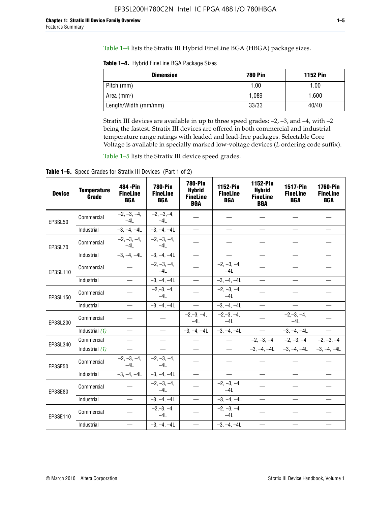Table 1–4 lists the Stratix III Hybrid FineLine BGA (HBGA) package sizes.

**Table 1–4.** Hybrid FineLine BGA Package Sizes

| <b>Dimension</b>     | <b>780 Pin</b> | <b>1152 Pin</b> |
|----------------------|----------------|-----------------|
| Pitch (mm)           | 1.00           | 1.00            |
| Area $(mm^2)$        | 1.089          | 1.600           |
| Length/Width (mm/mm) | 33/33          | 40/40           |

Stratix III devices are available in up to three speed grades: –2, –3, and –4, with –2 being the fastest. Stratix III devices are offered in both commercial and industrial temperature range ratings with leaded and lead-free packages. Selectable Core Voltage is available in specially marked low-voltage devices (*L* ordering code suffix).

Table 1–5 lists the Stratix III device speed grades.

Table 1-5. Speed Grades for Stratix III Devices (Part 1 of 2)

| <b>Device</b> | <b>Temperature</b><br>Grade | 484 - Pin<br><b>FineLine</b><br><b>BGA</b> | <b>780-Pin</b><br><b>FineLine</b><br><b>BGA</b> | <b>780-Pin</b><br><b>Hybrid</b><br><b>FineLine</b><br><b>BGA</b> | 1152-Pin<br><b>FineLine</b><br><b>BGA</b> | 1152-Pin<br><b>Hybrid</b><br><b>FineLine</b><br><b>BGA</b> | 1517-Pin<br><b>FineLine</b><br><b>BGA</b> | <b>1760-Pin</b><br><b>FineLine</b><br><b>BGA</b> |
|---------------|-----------------------------|--------------------------------------------|-------------------------------------------------|------------------------------------------------------------------|-------------------------------------------|------------------------------------------------------------|-------------------------------------------|--------------------------------------------------|
| EP3SL50       | Commercial                  | $-2, -3, -4,$<br>$-4L$                     | $-2, -3, -4,$<br>$-4L$                          |                                                                  |                                           |                                                            |                                           |                                                  |
|               | Industrial                  | $-3, -4, -4L$                              | $-3, -4, -4L$                                   | $\equiv$                                                         | $\equiv$                                  | $\equiv$                                                   | $\equiv$                                  | $\equiv$                                         |
| EP3SL70       | Commercial                  | $-2, -3, -4,$<br>$-41$                     | $-2, -3, -4,$<br>$-41$                          |                                                                  |                                           |                                                            |                                           |                                                  |
|               | Industrial                  | $-3, -4, -4L$                              | $-3, -4, -4L$                                   | $\equiv$                                                         | $\overline{\phantom{0}}$                  | $\overline{\phantom{0}}$                                   | $\overline{\phantom{0}}$                  | $\overline{\phantom{0}}$                         |
| EP3SL110      | Commercial                  |                                            | $-2, -3, -4,$<br>$-4L$                          |                                                                  | $-2, -3, -4,$<br>$-4L$                    |                                                            |                                           |                                                  |
|               | Industrial                  | $\equiv$                                   | $-3, -4, -4L$                                   | $\frac{1}{1}$                                                    | $-3, -4, -4L$                             | $\frac{1}{2}$                                              | $\equiv$                                  | $\overline{\phantom{0}}$                         |
| EP3SL150      | Commercial                  |                                            | $-2, -3, -4,$<br>$-41$                          |                                                                  | $-2, -3, -4,$<br>$-41$                    |                                                            |                                           |                                                  |
|               | Industrial                  |                                            | $-3, -4, -4L$                                   | $\equiv$                                                         | $-3, -4, -4L$                             |                                                            | $\qquad \qquad -$                         | $\equiv$                                         |
| EP3SL200      | Commercial                  |                                            |                                                 | $-2, -3, -4,$<br>$-4L$                                           | $-2, -3, -4,$<br>$-4L$                    |                                                            | $-2,-3,-4,$<br>$-4L$                      |                                                  |
|               | Industrial (1)              | $\equiv$                                   | $\equiv$                                        | $-3, -4, -4L$                                                    | $-3, -4, -4L$                             | $\frac{1}{2}$                                              | $-3, -4, -4L$                             | $\overline{\phantom{0}}$                         |
| EP3SL340      | Commercial                  | $\equiv$                                   | $\qquad \qquad$                                 | $\overbrace{\phantom{12322111}}$                                 | $\overline{\phantom{m}}$                  |                                                            | $-2, -3, -4$ $-2, -3, -4$                 | $-2, -3, -4$                                     |
|               | Industrial (1)              | $\overline{\phantom{m}}$                   | $\equiv$                                        | $\equiv$                                                         | $-$                                       |                                                            | $-3, -4, -4$ $-4$ $-3, -4, -4$            | $-3, -4, -4L$                                    |
| EP3SE50       | Commercial                  | $-2, -3, -4,$<br>$-4L$                     | $-2, -3, -4,$<br>$-4L$                          |                                                                  |                                           |                                                            |                                           |                                                  |
|               | Industrial                  | $-3, -4, -4L$                              | $-3, -4, -4L$                                   | $\equiv$                                                         | $\overline{\phantom{0}}$                  |                                                            |                                           | $\overline{\phantom{0}}$                         |
| EP3SE80       | Commercial                  |                                            | $-2, -3, -4,$<br>$-41$                          |                                                                  | $-2, -3, -4,$<br>$-41$                    |                                                            |                                           |                                                  |
|               | Industrial                  | $\overline{\phantom{m}}$                   | $-3, -4, -4L$                                   | $\overbrace{\phantom{1232211}}$                                  | $-3, -4, -4L$                             |                                                            | $\equiv$                                  |                                                  |
| EP3SE110      | Commercial                  |                                            | $-2, -3, -4,$<br>$-4L$                          |                                                                  | $-2, -3, -4,$<br>$-41$                    |                                                            |                                           |                                                  |
|               | Industrial                  |                                            | $-3, -4, -4L$                                   | $\overline{\phantom{0}}$                                         | $-3, -4, -4L$                             |                                                            |                                           |                                                  |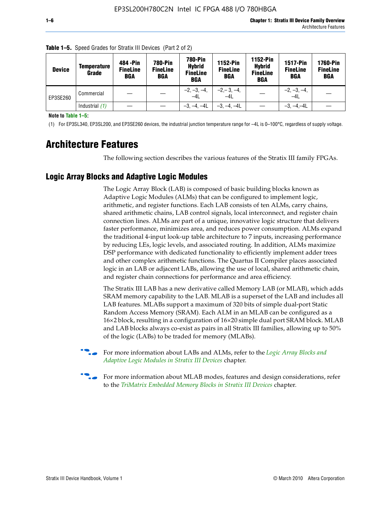| <b>Device</b> | Temperature<br>Grade | 484 - Pin<br><b>FineLine</b><br><b>BGA</b> | <b>780-Pin</b><br><b>FineLine</b><br>BGA | 780-Pin<br><b>Hybrid</b><br><b>FineLine</b><br><b>BGA</b> | <b>1152-Pin</b><br><b>FineLine</b><br><b>BGA</b> | <b>1152-Pin</b><br><b>Hybrid</b><br><b>FineLine</b><br><b>BGA</b> | <b>1517-Pin</b><br><b>FineLine</b><br>BGA | <b>1760-Pin</b><br><b>FineLine</b><br>BGA |
|---------------|----------------------|--------------------------------------------|------------------------------------------|-----------------------------------------------------------|--------------------------------------------------|-------------------------------------------------------------------|-------------------------------------------|-------------------------------------------|
| EP3SE260      | Commercial           |                                            |                                          | $-2, -3, -4,$<br>$-4L$                                    | $-2, -3, -4,$<br>$-4L$                           |                                                                   | $-2, -3, -4,$<br>$-4L$                    |                                           |
|               | Industrial $(1)$     |                                            |                                          | $-3, -4, -4L$                                             | $-3, -4, -4L$                                    |                                                                   | $-3. -4 -4L$                              |                                           |

**Table 1–5.** Speed Grades for Stratix III Devices (Part 2 of 2)

**Note to Table 1–5:**

(1) For EP3SL340, EP3SL200, and EP3SE260 devices, the industrial junction temperature range for –4L is 0–100°C, regardless of supply voltage.

# **Architecture Features**

The following section describes the various features of the Stratix III family FPGAs.

### **Logic Array Blocks and Adaptive Logic Modules**

The Logic Array Block (LAB) is composed of basic building blocks known as Adaptive Logic Modules (ALMs) that can be configured to implement logic, arithmetic, and register functions. Each LAB consists of ten ALMs, carry chains, shared arithmetic chains, LAB control signals, local interconnect, and register chain connection lines. ALMs are part of a unique, innovative logic structure that delivers faster performance, minimizes area, and reduces power consumption. ALMs expand the traditional 4-input look-up table architecture to 7 inputs, increasing performance by reducing LEs, logic levels, and associated routing. In addition, ALMs maximize DSP performance with dedicated functionality to efficiently implement adder trees and other complex arithmetic functions. The Quartus II Compiler places associated logic in an LAB or adjacent LABs, allowing the use of local, shared arithmetic chain, and register chain connections for performance and area efficiency.

The Stratix III LAB has a new derivative called Memory LAB (or MLAB), which adds SRAM memory capability to the LAB. MLAB is a superset of the LAB and includes all LAB features. MLABs support a maximum of 320 bits of simple dual-port Static Random Access Memory (SRAM). Each ALM in an MLAB can be configured as a 16×2 block, resulting in a configuration of 16×20 simple dual port SRAM block. MLAB and LAB blocks always co-exist as pairs in all Stratix III families, allowing up to 50% of the logic (LABs) to be traded for memory (MLABs).



f For more information about LABs and ALMs, refer to the *[Logic Array Blocks and](http://www.altera.com/literature/hb/stx3/stx3_siii51002.pdf)  [Adaptive Logic Modules in Stratix III Devices](http://www.altera.com/literature/hb/stx3/stx3_siii51002.pdf)* chapter.



For more information about MLAB modes, features and design considerations, refer to the *[TriMatrix Embedded Memory Blocks in Stratix III Devices](http://www.altera.com/literature/hb/stx3/stx3_siii51004.pdf)* chapter.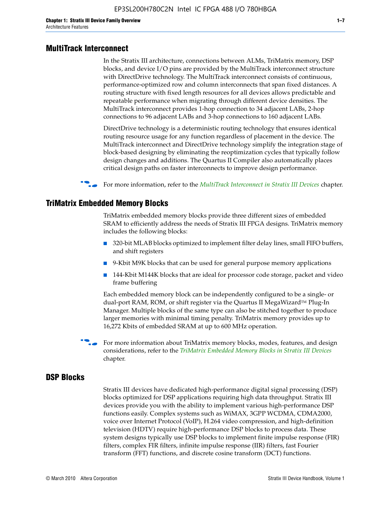#### **MultiTrack Interconnect**

In the Stratix III architecture, connections between ALMs, TriMatrix memory, DSP blocks, and device I/O pins are provided by the MultiTrack interconnect structure with DirectDrive technology. The MultiTrack interconnect consists of continuous, performance-optimized row and column interconnects that span fixed distances. A routing structure with fixed length resources for all devices allows predictable and repeatable performance when migrating through different device densities. The MultiTrack interconnect provides 1-hop connection to 34 adjacent LABs, 2-hop connections to 96 adjacent LABs and 3-hop connections to 160 adjacent LABs.

DirectDrive technology is a deterministic routing technology that ensures identical routing resource usage for any function regardless of placement in the device. The MultiTrack interconnect and DirectDrive technology simplify the integration stage of block-based designing by eliminating the reoptimization cycles that typically follow design changes and additions. The Quartus II Compiler also automatically places critical design paths on faster interconnects to improve design performance.

#### **For more information, refer to the** *[MultiTrack Interconnect in Stratix III Devices](http://www.altera.com/literature/hb/stx3/stx3_siii51003.pdf)* **chapter.**

#### **TriMatrix Embedded Memory Blocks**

TriMatrix embedded memory blocks provide three different sizes of embedded SRAM to efficiently address the needs of Stratix III FPGA designs. TriMatrix memory includes the following blocks:

- 320-bit MLAB blocks optimized to implement filter delay lines, small FIFO buffers, and shift registers
- 9-Kbit M9K blocks that can be used for general purpose memory applications
- 144-Kbit M144K blocks that are ideal for processor code storage, packet and video frame buffering

Each embedded memory block can be independently configured to be a single- or dual-port RAM, ROM, or shift register via the Quartus II MegaWizard™ Plug-In Manager. Multiple blocks of the same type can also be stitched together to produce larger memories with minimal timing penalty. TriMatrix memory provides up to 16,272 Kbits of embedded SRAM at up to 600 MHz operation.

For more information about TriMatrix memory blocks, modes, features, and design considerations, refer to the *[TriMatrix Embedded Memory Blocks in Stratix III Devices](http://www.altera.com/literature/hb/stx3/stx3_siii51004.pdf)* chapter.

#### **DSP Blocks**

Stratix III devices have dedicated high-performance digital signal processing (DSP) blocks optimized for DSP applications requiring high data throughput. Stratix III devices provide you with the ability to implement various high-performance DSP functions easily. Complex systems such as WiMAX, 3GPP WCDMA, CDMA2000, voice over Internet Protocol (VoIP), H.264 video compression, and high-definition television (HDTV) require high-performance DSP blocks to process data. These system designs typically use DSP blocks to implement finite impulse response (FIR) filters, complex FIR filters, infinite impulse response (IIR) filters, fast Fourier transform (FFT) functions, and discrete cosine transform (DCT) functions.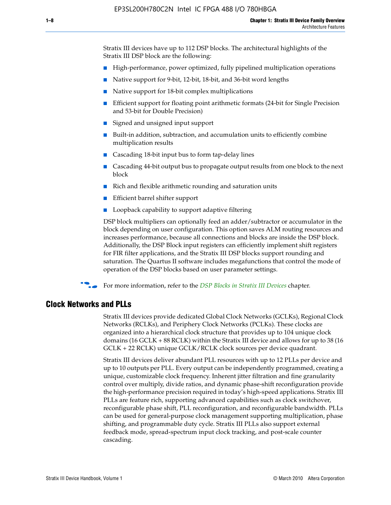Stratix III devices have up to 112 DSP blocks. The architectural highlights of the Stratix III DSP block are the following:

- High-performance, power optimized, fully pipelined multiplication operations
- Native support for 9-bit, 12-bit, 18-bit, and 36-bit word lengths
- Native support for 18-bit complex multiplications
- Efficient support for floating point arithmetic formats (24-bit for Single Precision and 53-bit for Double Precision)
- Signed and unsigned input support
- Built-in addition, subtraction, and accumulation units to efficiently combine multiplication results
- Cascading 18-bit input bus to form tap-delay lines
- Cascading 44-bit output bus to propagate output results from one block to the next block
- Rich and flexible arithmetic rounding and saturation units
- Efficient barrel shifter support
- Loopback capability to support adaptive filtering

DSP block multipliers can optionally feed an adder/subtractor or accumulator in the block depending on user configuration. This option saves ALM routing resources and increases performance, because all connections and blocks are inside the DSP block. Additionally, the DSP Block input registers can efficiently implement shift registers for FIR filter applications, and the Stratix III DSP blocks support rounding and saturation. The Quartus II software includes megafunctions that control the mode of operation of the DSP blocks based on user parameter settings.

f For more information, refer to the *[DSP Blocks in Stratix III Devices](http://www.altera.com/literature/hb/stx3/stx3_siii51005.pdf)* chapter.

#### **Clock Networks and PLLs**

Stratix III devices provide dedicated Global Clock Networks (GCLKs), Regional Clock Networks (RCLKs), and Periphery Clock Networks (PCLKs). These clocks are organized into a hierarchical clock structure that provides up to 104 unique clock domains (16 GCLK + 88 RCLK) within the Stratix III device and allows for up to 38 (16 GCLK + 22 RCLK) unique GCLK/RCLK clock sources per device quadrant.

Stratix III devices deliver abundant PLL resources with up to 12 PLLs per device and up to 10 outputs per PLL. Every output can be independently programmed, creating a unique, customizable clock frequency. Inherent jitter filtration and fine granularity control over multiply, divide ratios, and dynamic phase-shift reconfiguration provide the high-performance precision required in today's high-speed applications. Stratix III PLLs are feature rich, supporting advanced capabilities such as clock switchover, reconfigurable phase shift, PLL reconfiguration, and reconfigurable bandwidth. PLLs can be used for general-purpose clock management supporting multiplication, phase shifting, and programmable duty cycle. Stratix III PLLs also support external feedback mode, spread-spectrum input clock tracking, and post-scale counter cascading.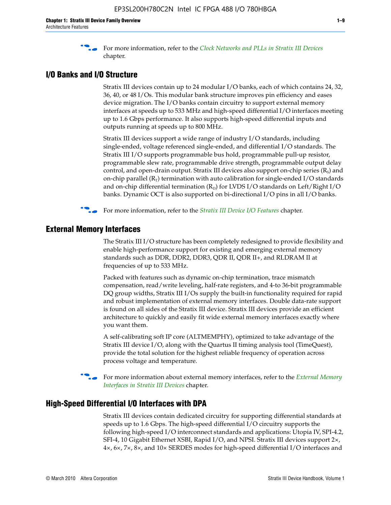f For more information, refer to the *[Clock Networks and PLLs in Stratix III Devices](http://www.altera.com/literature/hb/stx3/stx3_siii51006.pdf)* chapter.

## **I/O Banks and I/O Structure**

Stratix III devices contain up to 24 modular I/O banks, each of which contains 24, 32, 36, 40, or 48 I/Os. This modular bank structure improves pin efficiency and eases device migration. The I/O banks contain circuitry to support external memory interfaces at speeds up to 533 MHz and high-speed differential I/O interfaces meeting up to 1.6 Gbps performance. It also supports high-speed differential inputs and outputs running at speeds up to 800 MHz.

Stratix III devices support a wide range of industry I/O standards, including single-ended, voltage referenced single-ended, and differential I/O standards. The Stratix III I/O supports programmable bus hold, programmable pull-up resistor, programmable slew rate, programmable drive strength, programmable output delay control, and open-drain output. Stratix III devices also support on-chip series  $(R<sub>s</sub>)$  and on-chip parallel  $(R_T)$  termination with auto calibration for single-ended I/O standards and on-chip differential termination  $(R_D)$  for LVDS I/O standards on Left/Right I/O banks. Dynamic OCT is also supported on bi-directional I/O pins in all I/O banks.

**For more information, refer to the** *[Stratix III Device I/O Features](http://www.altera.com/literature/hb/stx3/stx3_siii51007.pdf)* **chapter.** 

## **External Memory Interfaces**

The Stratix III I/O structure has been completely redesigned to provide flexibility and enable high-performance support for existing and emerging external memory standards such as DDR, DDR2, DDR3, QDR II, QDR II+, and RLDRAM II at frequencies of up to 533 MHz.

Packed with features such as dynamic on-chip termination, trace mismatch compensation, read/write leveling, half-rate registers, and 4-to 36-bit programmable DQ group widths, Stratix III I/Os supply the built-in functionality required for rapid and robust implementation of external memory interfaces. Double data-rate support is found on all sides of the Stratix III device. Stratix III devices provide an efficient architecture to quickly and easily fit wide external memory interfaces exactly where you want them.

A self-calibrating soft IP core (ALTMEMPHY), optimized to take advantage of the Stratix III device I/O, along with the Quartus II timing analysis tool (TimeQuest), provide the total solution for the highest reliable frequency of operation across process voltage and temperature.

f For more information about external memory interfaces, refer to the *[External Memory](http://www.altera.com/literature/hb/stx3/stx3_siii51008.pdf)  [Interfaces in Stratix III Devices](http://www.altera.com/literature/hb/stx3/stx3_siii51008.pdf)* chapter.

#### **High-Speed Differential I/O Interfaces with DPA**

Stratix III devices contain dedicated circuitry for supporting differential standards at speeds up to 1.6 Gbps. The high-speed differential I/O circuitry supports the following high-speed I/O interconnect standards and applications: Utopia IV, SPI-4.2, SFI-4, 10 Gigabit Ethernet XSBI, Rapid I/O, and NPSI. Stratix III devices support 2×, 4×, 6×, 7×, 8×, and 10× SERDES modes for high-speed differential I/O interfaces and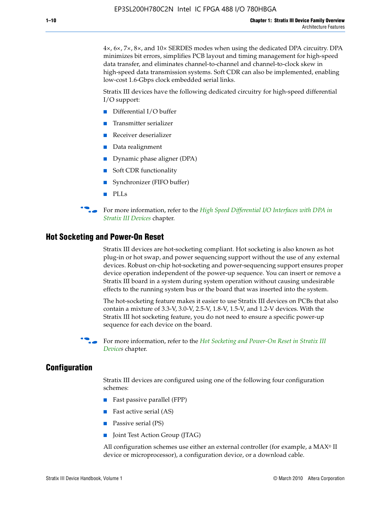4×, 6×, 7×, 8×, and 10× SERDES modes when using the dedicated DPA circuitry. DPA minimizes bit errors, simplifies PCB layout and timing management for high-speed data transfer, and eliminates channel-to-channel and channel-to-clock skew in high-speed data transmission systems. Soft CDR can also be implemented, enabling low-cost 1.6-Gbps clock embedded serial links.

Stratix III devices have the following dedicated circuitry for high-speed differential I/O support:

- Differential I/O buffer
- Transmitter serializer
- Receiver deserializer
- Data realignment
- Dynamic phase aligner (DPA)
- Soft CDR functionality
- Synchronizer (FIFO buffer)
- PLLs

**for more information, refer to the** *High Speed Differential I/O Interfaces with DPA in [Stratix III Devices](http://www.altera.com/literature/hb/stx3/stx3_siii51009.pdf)* chapter.

#### **Hot Socketing and Power-On Reset**

Stratix III devices are hot-socketing compliant. Hot socketing is also known as hot plug-in or hot swap, and power sequencing support without the use of any external devices. Robust on-chip hot-socketing and power-sequencing support ensures proper device operation independent of the power-up sequence. You can insert or remove a Stratix III board in a system during system operation without causing undesirable effects to the running system bus or the board that was inserted into the system.

The hot-socketing feature makes it easier to use Stratix III devices on PCBs that also contain a mixture of 3.3-V, 3.0-V, 2.5-V, 1.8-V, 1.5-V, and 1.2-V devices. With the Stratix III hot socketing feature, you do not need to ensure a specific power-up sequence for each device on the board.

f For more information, refer to the *[Hot Socketing and Power-On Reset in Stratix III](http://www.altera.com/literature/hb/stx3/stx3_siii51010.pdf)  [Device](http://www.altera.com/literature/hb/stx3/stx3_siii51010.pdf)s* chapter.

#### **Configuration**

Stratix III devices are configured using one of the following four configuration schemes:

- Fast passive parallel (FPP)
- Fast active serial (AS)
- Passive serial (PS)
- Joint Test Action Group (JTAG)

All configuration schemes use either an external controller (for example, a  $MAX<sup>®</sup>$  II device or microprocessor), a configuration device, or a download cable.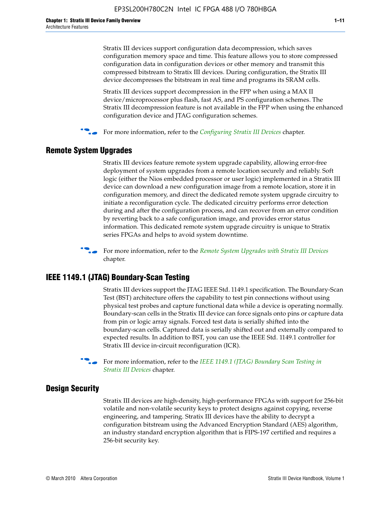Stratix III devices support configuration data decompression, which saves configuration memory space and time. This feature allows you to store compressed configuration data in configuration devices or other memory and transmit this compressed bitstream to Stratix III devices. During configuration, the Stratix III device decompresses the bitstream in real time and programs its SRAM cells.

Stratix III devices support decompression in the FPP when using a MAX II device/microprocessor plus flash, fast AS, and PS configuration schemes. The Stratix III decompression feature is not available in the FPP when using the enhanced configuration device and JTAG configuration schemes.

For more information, refer to the *[Configuring Stratix III Devices](http://www.altera.com/literature/hb/stx3/stx3_siii51011.pdf)* chapter.

#### **Remote System Upgrades**

Stratix III devices feature remote system upgrade capability, allowing error-free deployment of system upgrades from a remote location securely and reliably. Soft logic (either the Nios embedded processor or user logic) implemented in a Stratix III device can download a new configuration image from a remote location, store it in configuration memory, and direct the dedicated remote system upgrade circuitry to initiate a reconfiguration cycle. The dedicated circuitry performs error detection during and after the configuration process, and can recover from an error condition by reverting back to a safe configuration image, and provides error status information. This dedicated remote system upgrade circuitry is unique to Stratix series FPGAs and helps to avoid system downtime.



**For more information, refer to the** *[Remote System Upgrades with Stratix III Devices](http://www.altera.com/literature/hb/stx3/stx3_siii51012.pdf)* chapter.

#### **IEEE 1149.1 (JTAG) Boundary-Scan Testing**

Stratix III devices support the JTAG IEEE Std. 1149.1 specification. The Boundary-Scan Test (BST) architecture offers the capability to test pin connections without using physical test probes and capture functional data while a device is operating normally. Boundary-scan cells in the Stratix III device can force signals onto pins or capture data from pin or logic array signals. Forced test data is serially shifted into the boundary-scan cells. Captured data is serially shifted out and externally compared to expected results. In addition to BST, you can use the IEEE Std. 1149.1 controller for Stratix III device in-circuit reconfiguration (ICR).

For more information, refer to the *IEEE 1149.1 (JTAG) Boundary Scan Testing in [Stratix III Devices](http://www.altera.com/literature/hb/stx3/stx3_siii51013.pdf)* chapter.

#### **Design Security**

Stratix III devices are high-density, high-performance FPGAs with support for 256-bit volatile and non-volatile security keys to protect designs against copying, reverse engineering, and tampering. Stratix III devices have the ability to decrypt a configuration bitstream using the Advanced Encryption Standard (AES) algorithm, an industry standard encryption algorithm that is FIPS-197 certified and requires a 256-bit security key.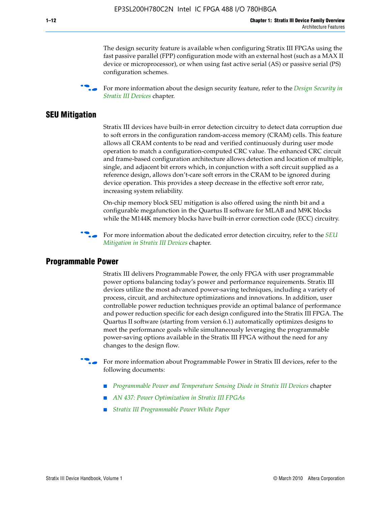The design security feature is available when configuring Stratix III FPGAs using the fast passive parallel (FPP) configuration mode with an external host (such as a MAX II device or microprocessor), or when using fast active serial (AS) or passive serial (PS) configuration schemes.

f For more information about the design security feature, refer to the *[Design Security in](http://www.altera.com/literature/hb/stx3/stx3_siii51014.pdf)  [Stratix III Devices](http://www.altera.com/literature/hb/stx3/stx3_siii51014.pdf)* chapter.

#### **SEU Mitigation**

Stratix III devices have built-in error detection circuitry to detect data corruption due to soft errors in the configuration random-access memory (CRAM) cells. This feature allows all CRAM contents to be read and verified continuously during user mode operation to match a configuration-computed CRC value. The enhanced CRC circuit and frame-based configuration architecture allows detection and location of multiple, single, and adjacent bit errors which, in conjunction with a soft circuit supplied as a reference design, allows don't-care soft errors in the CRAM to be ignored during device operation. This provides a steep decrease in the effective soft error rate, increasing system reliability.

On-chip memory block SEU mitigation is also offered using the ninth bit and a configurable megafunction in the Quartus II software for MLAB and M9K blocks while the M144K memory blocks have built-in error correction code (ECC) circuitry.

For more information about the dedicated error detection circuitry, refer to the *SEU [Mitigation in Stratix III Devices](http://www.altera.com/literature/hb/stx3/stx3_siii51015.pdf)* chapter.

#### **Programmable Power**

Stratix III delivers Programmable Power, the only FPGA with user programmable power options balancing today's power and performance requirements. Stratix III devices utilize the most advanced power-saving techniques, including a variety of process, circuit, and architecture optimizations and innovations. In addition, user controllable power reduction techniques provide an optimal balance of performance and power reduction specific for each design configured into the Stratix III FPGA. The Quartus II software (starting from version 6.1) automatically optimizes designs to meet the performance goals while simultaneously leveraging the programmable power-saving options available in the Stratix III FPGA without the need for any changes to the design flow.

For more information about Programmable Power in Stratix III devices, refer to the following documents:

- *[Programmable Power and Temperature Sensing Diode in Stratix III Devices](http://www.altera.com/literature/hb/stx3/stx3_siii51016.pdf)* chapter
- *[AN 437: Power Optimization in Stratix III FPGAs](http://www.altera.com/literature/an/AN437.pdf)*
- *[Stratix III Programmable Power White Paper](http://www.altera.com/literature/wp/wp-01006.pdf)*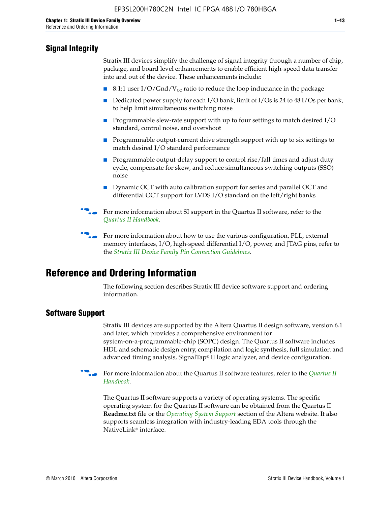## **Signal Integrity**

Stratix III devices simplify the challenge of signal integrity through a number of chip, package, and board level enhancements to enable efficient high-speed data transfer into and out of the device. These enhancements include:

- 8:1:1 user I/O/Gnd/V<sub>cc</sub> ratio to reduce the loop inductance in the package
- Dedicated power supply for each I/O bank, limit of I/Os is 24 to 48 I/Os per bank, to help limit simultaneous switching noise
- Programmable slew-rate support with up to four settings to match desired I/O standard, control noise, and overshoot
- Programmable output-current drive strength support with up to six settings to match desired I/O standard performance
- Programmable output-delay support to control rise/fall times and adjust duty cycle, compensate for skew, and reduce simultaneous switching outputs (SSO) noise
- Dynamic OCT with auto calibration support for series and parallel OCT and differential OCT support for LVDS I/O standard on the left/right banks
- For mor[e](http://www.altera.com/literature/hb/qts/quartusii_handbook.pdf) information about SI support in the Quartus II software, refer to the *[Quartus II Handbook](http://www.altera.com/literature/hb/qts/quartusii_handbook.pdf)*.

For more information about how to use the various configuration, PLL, external memory interfaces, I/O, high-speed differential I/O, power, and JTAG pins, refer to the *[Stratix III Device Family Pin Connection Guidelines](http://www.altera.com/literature/dp/stx3/PCG-01004.pdf)*.

# **Reference and Ordering Information**

The following section describes Stratix III device software support and ordering information.

## **Software Support**

Stratix III devices are supported by the Altera Quartus II design software, version 6.1 and later, which provides a comprehensive environment for system-on-a-programmable-chip (SOPC) design. The Quartus II software includes HDL and schematic design entry, compilation and logic synthesis, full simulation and advanced timing analysis, SignalTap® II logic analyzer, and device configuration.

**For more information about the [Quartus II](http://www.altera.com/literature/hb/qts/quartusii_handbook.pdf) software features, refer to the** *Quartus II* **<b>Fig. 7** *[Handbook](http://www.altera.com/literature/hb/qts/quartusii_handbook.pdf)*.

The Quartus II software supports a variety of operating systems. The specific operating system for the Quartus II software can be obtained from the Quartus II **Readme.txt** file or the *[Operating System Support](http://www.altera.com/support/software/os_support/oss-index.html)* section of the Altera website. It also supports seamless integration with industry-leading EDA tools through the NativeLink® interface.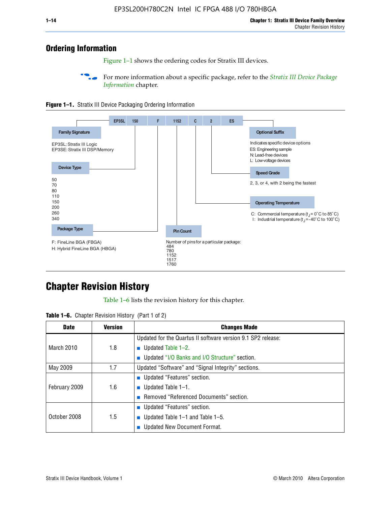## **Ordering Information**

Figure 1–1 shows the ordering codes for Stratix III devices.

For more information about a specific package, refer to the *Stratix III Device Package [Information](http://www.altera.com/literature/hb/stx3/stx3_siii51017.pdf)* chapter.





# **[C](http://www.altera.com/literature/hb/stx3/stx3_siii51012.pdf)hapter Revision History**

Table 1–6 lists the revision history for this chapter.

| <b>Table 1–6.</b> Chapter Revision History (Part 1 of 2) |  |  |  |  |  |
|----------------------------------------------------------|--|--|--|--|--|
|----------------------------------------------------------|--|--|--|--|--|

| <b>Date</b>       | <b>Version</b> | <b>Changes Made</b>                                          |
|-------------------|----------------|--------------------------------------------------------------|
|                   |                | Updated for the Quartus II software version 9.1 SP2 release: |
| <b>March 2010</b> | 1.8            | <b>u</b> Updated Table $1-2$ .                               |
|                   |                | ■ Updated "I/O Banks and I/O Structure" section.             |
| May 2009          | 1.7            | Updated "Software" and "Signal Integrity" sections.          |
|                   |                | ■ Updated "Features" section.                                |
| February 2009     | 1.6            | <b>u</b> Updated Table $1-1$ .                               |
|                   |                | Removed "Referenced Documents" section.                      |
|                   |                | ■ Updated "Features" section.                                |
| October 2008      | 1.5            | ■ Updated Table $1-1$ and Table $1-5$ .                      |
|                   |                | Updated New Document Format.                                 |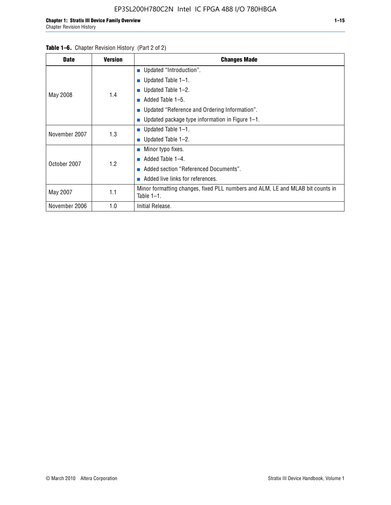#### Table 1–6. Chapter Revision History (Part 2 of 2)

| <b>Date</b>   | <b>Version</b> | <b>Changes Made</b>                                                                             |
|---------------|----------------|-------------------------------------------------------------------------------------------------|
|               |                | <b>Updated "Introduction".</b>                                                                  |
|               |                | $\blacksquare$ Updated Table 1-1.                                                               |
|               | 1.4            | <b>u</b> Updated Table $1-2$ .                                                                  |
| May 2008      |                | Added Table 1–5.                                                                                |
|               |                | ■ Updated "Reference and Ordering Information".                                                 |
|               |                | ■ Updated package type information in Figure $1-1$ .                                            |
| November 2007 | 1.3            | <b>U</b> pdated Table $1-1$ .                                                                   |
|               |                | ■ Updated Table $1-2$ .                                                                         |
|               |                | ■ Minor typo fixes.                                                                             |
| October 2007  | 1.2            | Added Table 1-4.                                                                                |
|               |                | Added section "Referenced Documents".<br>m.                                                     |
|               |                | Added live links for references.                                                                |
| May 2007      | 1.1            | Minor formatting changes, fixed PLL numbers and ALM, LE and MLAB bit counts in<br>Table $1-1$ . |
| November 2006 | 1.0            | Initial Release.                                                                                |